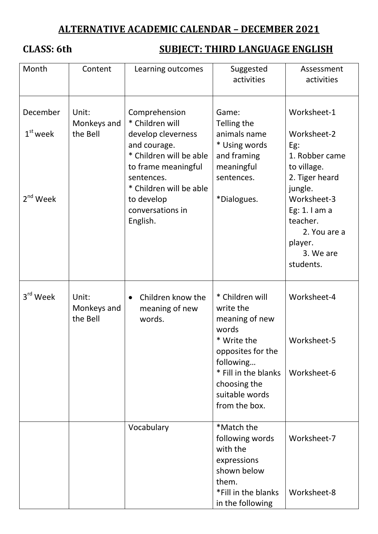# **ALTERNATIVE ACADEMIC CALENDAR – DECEMBER 2021**

# **CLASS: 6th SUBJECT: THIRD LANGUAGE ENGLISH**

| Month                                | Content                          | Learning outcomes                                                                                                                                                                                               | Suggested<br>activities                                                                                                                                                             | Assessment<br>activities                                                                                                                                                                          |
|--------------------------------------|----------------------------------|-----------------------------------------------------------------------------------------------------------------------------------------------------------------------------------------------------------------|-------------------------------------------------------------------------------------------------------------------------------------------------------------------------------------|---------------------------------------------------------------------------------------------------------------------------------------------------------------------------------------------------|
| December<br>$1st$ week<br>$2nd$ Week | Unit:<br>Monkeys and<br>the Bell | Comprehension<br>* Children will<br>develop cleverness<br>and courage.<br>* Children will be able<br>to frame meaningful<br>sentences.<br>* Children will be able<br>to develop<br>conversations in<br>English. | Game:<br>Telling the<br>animals name<br>* Using words<br>and framing<br>meaningful<br>sentences.<br>*Dialogues.                                                                     | Worksheet-1<br>Worksheet-2<br>Eg:<br>1. Robber came<br>to village.<br>2. Tiger heard<br>jungle.<br>Worksheet-3<br>Eg: $1.1$ am a<br>teacher.<br>2. You are a<br>player.<br>3. We are<br>students. |
| 3rd Week                             | Unit:<br>Monkeys and<br>the Bell | Children know the<br>$\bullet$<br>meaning of new<br>words.                                                                                                                                                      | * Children will<br>write the<br>meaning of new<br>words<br>* Write the<br>opposites for the<br>following<br>* Fill in the blanks<br>choosing the<br>suitable words<br>from the box. | Worksheet-4<br>Worksheet-5<br>Worksheet-6                                                                                                                                                         |
|                                      |                                  | Vocabulary                                                                                                                                                                                                      | *Match the<br>following words<br>with the<br>expressions<br>shown below<br>them.<br>*Fill in the blanks<br>in the following                                                         | Worksheet-7<br>Worksheet-8                                                                                                                                                                        |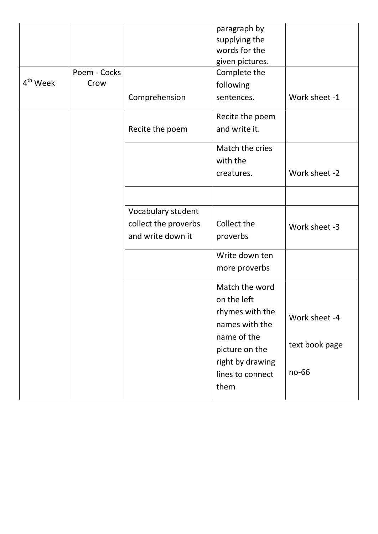|                      |              |                      | paragraph by     |                |
|----------------------|--------------|----------------------|------------------|----------------|
|                      |              |                      | supplying the    |                |
|                      |              |                      | words for the    |                |
|                      |              |                      | given pictures.  |                |
| 4 <sup>th</sup> Week | Poem - Cocks |                      | Complete the     |                |
|                      | Crow         |                      | following        |                |
|                      |              | Comprehension        | sentences.       | Work sheet -1  |
|                      |              |                      | Recite the poem  |                |
|                      |              | Recite the poem      | and write it.    |                |
|                      |              |                      | Match the cries  |                |
|                      |              |                      | with the         |                |
|                      |              |                      | creatures.       | Work sheet -2  |
|                      |              |                      |                  |                |
|                      |              | Vocabulary student   |                  |                |
|                      |              | collect the proverbs | Collect the      | Work sheet -3  |
|                      |              | and write down it    | proverbs         |                |
|                      |              |                      | Write down ten   |                |
|                      |              |                      | more proverbs    |                |
|                      |              |                      | Match the word   |                |
|                      |              |                      | on the left      |                |
|                      |              |                      | rhymes with the  |                |
|                      |              |                      | names with the   | Work sheet -4  |
|                      |              |                      | name of the      |                |
|                      |              |                      | picture on the   | text book page |
|                      |              |                      | right by drawing |                |
|                      |              |                      | lines to connect | no-66          |
|                      |              |                      | them             |                |
|                      |              |                      |                  |                |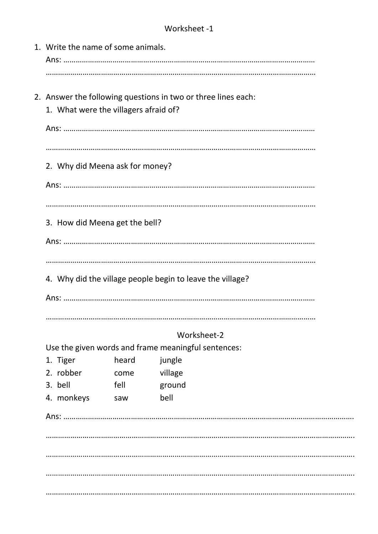## Worksheet -1

| 1. Write the name of some animals.    |               |                                                               |  |
|---------------------------------------|---------------|---------------------------------------------------------------|--|
| 1. What were the villagers afraid of? |               | 2. Answer the following questions in two or three lines each: |  |
|                                       |               |                                                               |  |
| 2. Why did Meena ask for money?       |               |                                                               |  |
|                                       |               |                                                               |  |
| 3. How did Meena get the bell?        |               |                                                               |  |
|                                       |               |                                                               |  |
|                                       |               | 4. Why did the village people begin to leave the village?     |  |
|                                       |               | Worksheet-2                                                   |  |
|                                       |               | Use the given words and frame meaningful sentences:           |  |
| 1. Tiger<br>2. robber                 | heard<br>come | jungle<br>village                                             |  |
| 3. bell                               | fell          | ground                                                        |  |
| 4. monkeys                            | saw           | bell                                                          |  |
|                                       |               |                                                               |  |
|                                       |               |                                                               |  |
|                                       |               |                                                               |  |
|                                       |               |                                                               |  |
|                                       |               |                                                               |  |
|                                       |               |                                                               |  |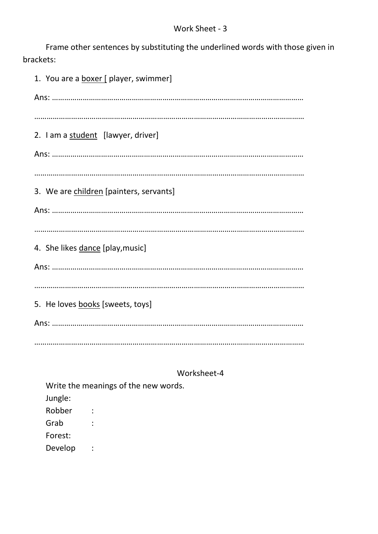Frame other sentences by substituting the underlined words with those given in brackets:

1. You are a **boxer** [ player, swimmer] Ans: …………………………………………………………………………………………………………… …………………………………………………………………………………………………………………… 2. I am a student [lawyer, driver] Ans: …………………………………………………………………………………………………………… …………………………………………………………………………………………………………………… 3. We are children [painters, servants] Ans: …………………………………………………………………………………………………………… …………………………………………………………………………………………………………………… 4. She likes dance [play,music] Ans: …………………………………………………………………………………………………………… …………………………………………………………………………………………………………………… 5. He loves books [sweets, toys] Ans: …………………………………………………………………………………………………………… ……………………………………………………………………………………………………………………

#### Worksheet-4

Write the meanings of the new words. Jungle: Robber : Grab : Forest: Develop :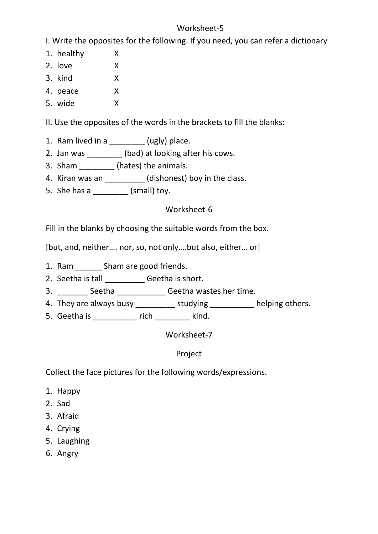#### Worksheet-5

I. Write the opposites for the following. If you need, you can refer a dictionary

- 1. healthy X
- 2. love X
- 3. kind X
- 4. peace X
- 5. wide X

II. Use the opposites of the words in the brackets to fill the blanks:

- 1. Ram lived in a  $(ugly)$  place.
- 2. Jan was \_\_\_\_\_\_\_\_ (bad) at looking after his cows.
- 3. Sham \_\_\_\_\_\_\_\_\_\_ (hates) the animals.
- 4. Kiran was an \_\_\_\_\_\_\_\_\_\_ (dishonest) boy in the class.
- 5. She has a  $\qquad \qquad$  (small) toy.

### Worksheet-6

Fill in the blanks by choosing the suitable words from the box.

[but, and, neither…. nor, so, not only….but also, either… or]

- 1. Ram \_\_\_\_\_\_ Sham are good friends.
- 2. Seetha is tall \_\_\_\_\_\_\_\_\_\_\_\_Geetha is short.
- 3. \_\_\_\_\_\_\_\_\_ Seetha \_\_\_\_\_\_\_\_\_\_\_\_\_\_ Geetha wastes her time.
- 4. They are always busy \_\_\_\_\_\_\_\_\_\_\_ studying \_\_\_\_\_\_\_\_\_\_\_ helping others.
- 5. Geetha is \_\_\_\_\_\_\_\_\_\_ rich \_\_\_\_\_\_\_\_ kind.

Worksheet-7

Project

Collect the face pictures for the following words/expressions.

- 1. Happy
- 2. Sad
- 3. Afraid
- 4. Crying
- 5. Laughing
- 6. Angry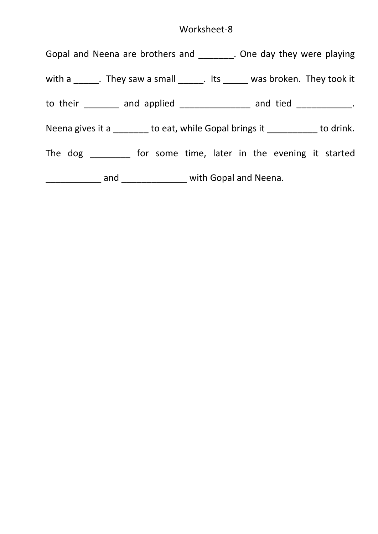## Worksheet-8

| Gopal and Neena are brothers and ________. One day they were playing                         |
|----------------------------------------------------------------------------------------------|
| with $a \_\_\_\_\$ . They saw a small $\_\_\_\_\$ . Its $\_\_\_\_\$ was broken. They took it |
| to their ________ and applied _______________ and tied ___________.                          |
| Neena gives it a _______ to eat, while Gopal brings it _________ to drink.                   |
| The dog _________ for some time, later in the evening it started                             |
| _______________ and __________________ with Gopal and Neena.                                 |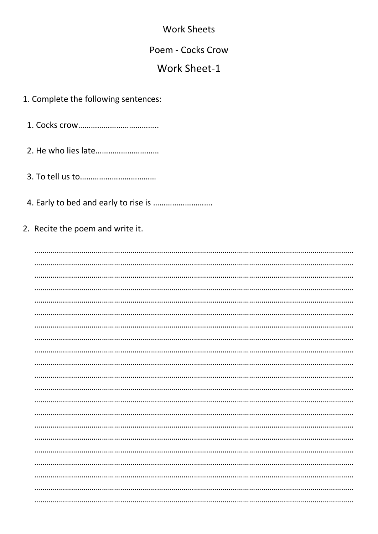### **Work Sheets**

#### Poem - Cocks Crow

# Work Sheet-1

#### 1. Complete the following sentences:

- 
- 
- 
- 
- 2. Recite the poem and write it.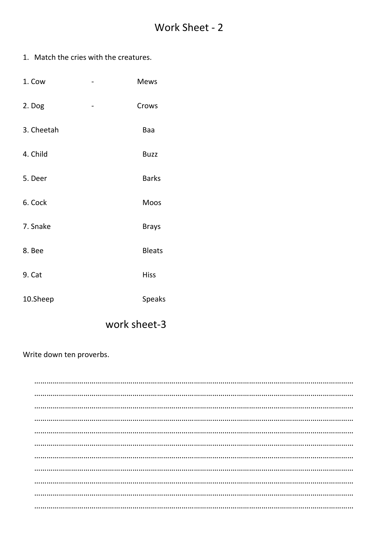1. Match the cries with the creatures.

| 1. Cow     | <b>Mews</b>   |
|------------|---------------|
| 2. Dog     | Crows         |
| 3. Cheetah | Baa           |
| 4. Child   | <b>Buzz</b>   |
| 5. Deer    | <b>Barks</b>  |
| 6. Cock    | Moos          |
| 7. Snake   | <b>Brays</b>  |
| 8. Bee     | <b>Bleats</b> |
| 9. Cat     | <b>Hiss</b>   |
| 10.Sheep   | <b>Speaks</b> |

# work sheet-3

#### Write down ten proverbs.